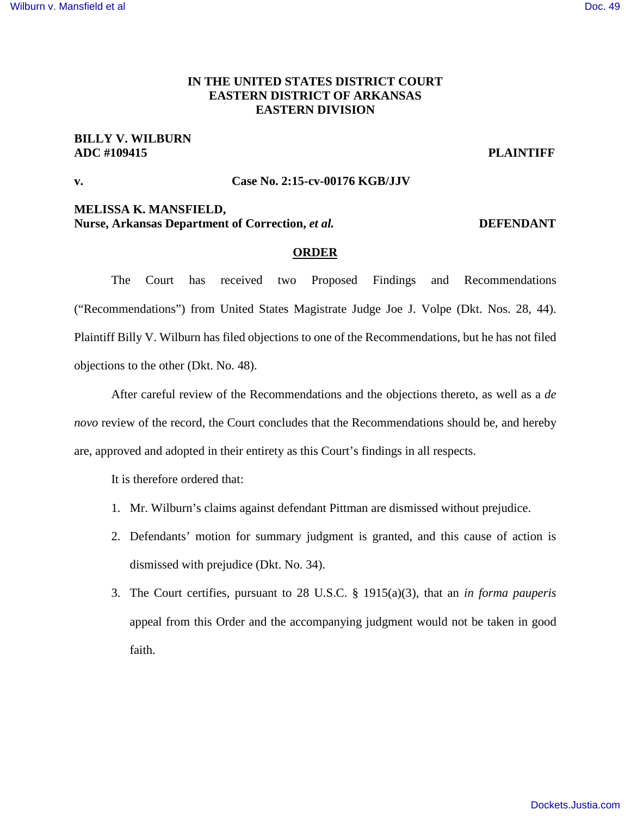#### [Wilburn v. Mansfield et al](https://dockets.justia.com/docket/arkansas/aredce/2:2015cv00176/101822/) [Doc. 49](https://docs.justia.com/cases/federal/district-courts/arkansas/aredce/2:2015cv00176/101822/49/)

## **IN THE UNITED STATES DISTRICT COURT EASTERN DISTRICT OF ARKANSAS EASTERN DIVISION**

# **BILLY V. WILBURN ADC #109415 PLAINTIFF**

### **v. Case No. 2:15-cv-00176 KGB/JJV**

# **MELISSA K. MANSFIELD,**

**Nurse, Arkansas Department of Correction,** *et al.* **<b>DEFENDANT** 

### **ORDER**

The Court has received two Proposed Findings and Recommendations ("Recommendations") from United States Magistrate Judge Joe J. Volpe (Dkt. Nos. 28, 44). Plaintiff Billy V. Wilburn has filed objections to one of the Recommendations, but he has not filed objections to the other (Dkt. No. 48).

After careful review of the Recommendations and the objections thereto, as well as a *de novo* review of the record, the Court concludes that the Recommendations should be, and hereby are, approved and adopted in their entirety as this Court's findings in all respects.

It is therefore ordered that:

- 1. Mr. Wilburn's claims against defendant Pittman are dismissed without prejudice.
- 2. Defendants' motion for summary judgment is granted, and this cause of action is dismissed with prejudice (Dkt. No. 34).
- 3. The Court certifies, pursuant to 28 U.S.C. § 1915(a)(3), that an *in forma pauperis* appeal from this Order and the accompanying judgment would not be taken in good faith.